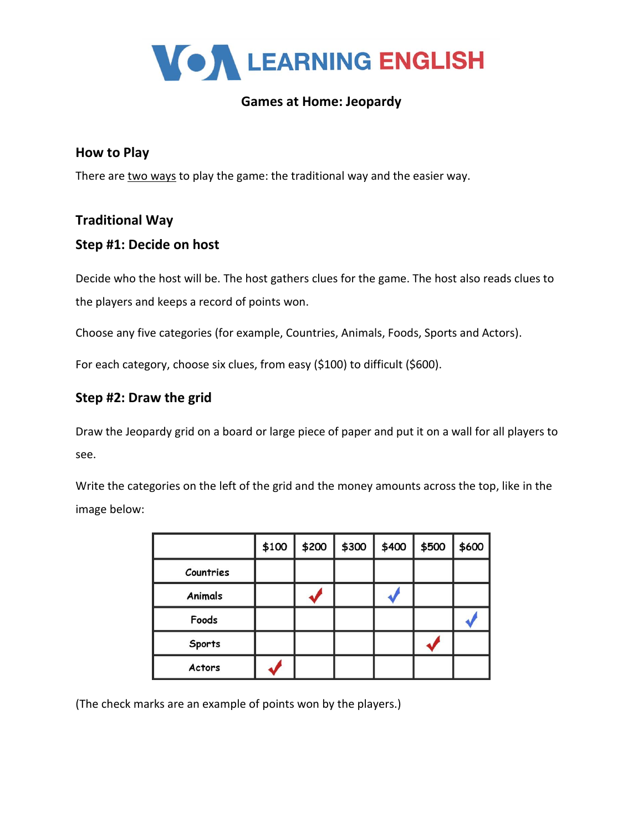

# **Games at Home: Jeopardy**

### **How to Play**

There are two ways to play the game: the traditional way and the easier way.

#### **Traditional Way**

#### **Step #1: Decide on host**

Decide who the host will be. The host gathers clues for the game. The host also reads clues to the players and keeps a record of points won.

Choose any five categories (for example, Countries, Animals, Foods, Sports and Actors).

For each category, choose six clues, from easy (\$100) to difficult (\$600).

## **Step #2: Draw the grid**

Draw the Jeopardy grid on a board or large piece of paper and put it on a wall for all players to see.

Write the categories on the left of the grid and the money amounts across the top, like in the image below:

|           | \$100 | \$200 | \$300 | \$400 | \$500 | \$600 |
|-----------|-------|-------|-------|-------|-------|-------|
| Countries |       |       |       |       |       |       |
| Animals   |       |       |       |       |       |       |
| Foods     |       |       |       |       |       |       |
| Sports    |       |       |       |       |       |       |
| Actors    |       |       |       |       |       |       |

(The check marks are an example of points won by the players.)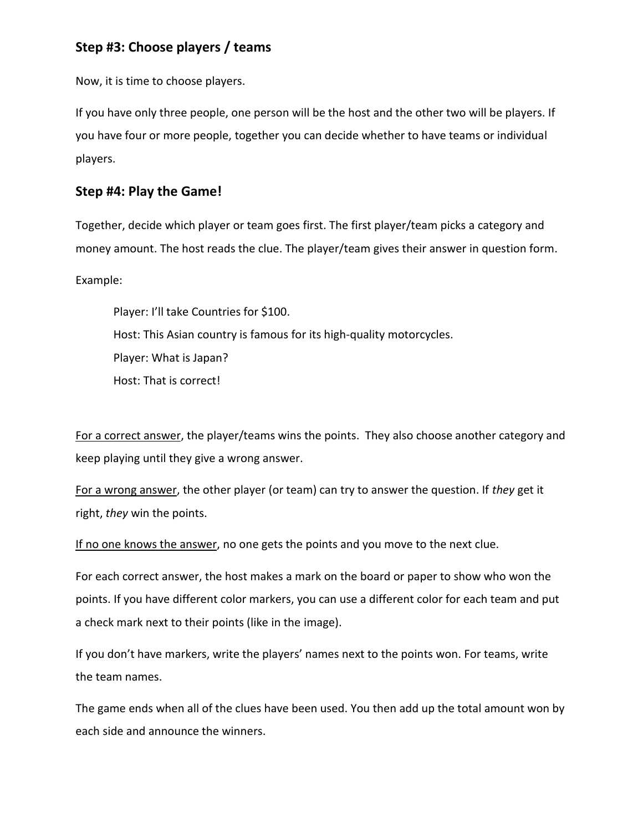# **Step #3: Choose players / teams**

Now, it is time to choose players.

If you have only three people, one person will be the host and the other two will be players. If you have four or more people, together you can decide whether to have teams or individual players.

### **Step #4: Play the Game!**

Together, decide which player or team goes first. The first player/team picks a category and money amount. The host reads the clue. The player/team gives their answer in question form.

Example:

Player: I'll take Countries for \$100. Host: This Asian country is famous for its high-quality motorcycles. Player: What is Japan? Host: That is correct!

For a correct answer, the player/teams wins the points. They also choose another category and keep playing until they give a wrong answer.

For a wrong answer, the other player (or team) can try to answer the question. If *they* get it right, *they* win the points.

If no one knows the answer, no one gets the points and you move to the next clue.

For each correct answer, the host makes a mark on the board or paper to show who won the points. If you have different color markers, you can use a different color for each team and put a check mark next to their points (like in the image).

If you don't have markers, write the players' names next to the points won. For teams, write the team names.

The game ends when all of the clues have been used. You then add up the total amount won by each side and announce the winners.